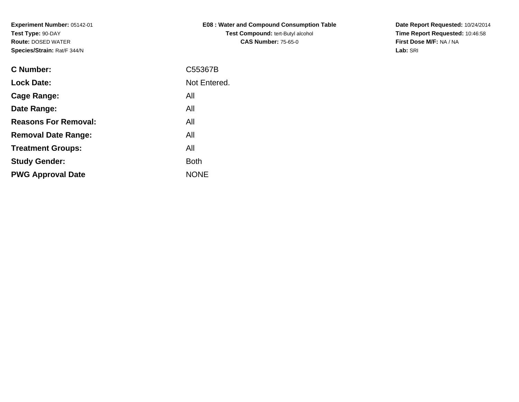| <b>E08: Water and Compound Consumption Table</b> |
|--------------------------------------------------|
| <b>Test Compound: tert-Butyl alcohol</b>         |
| <b>CAS Number: 75-65-0</b>                       |

**Date Report Requested:** 10/24/2014 **Time Report Requested:** 10:46:58**First Dose M/F:** NA / NA**Lab:** SRI

| <b>C</b> Number:            | C55367B      |
|-----------------------------|--------------|
| <b>Lock Date:</b>           | Not Entered. |
| Cage Range:                 | All          |
| Date Range:                 | All          |
| <b>Reasons For Removal:</b> | All          |
| <b>Removal Date Range:</b>  | All          |
| <b>Treatment Groups:</b>    | All          |
| <b>Study Gender:</b>        | <b>Both</b>  |
| <b>PWG Approval Date</b>    | <b>NONE</b>  |
|                             |              |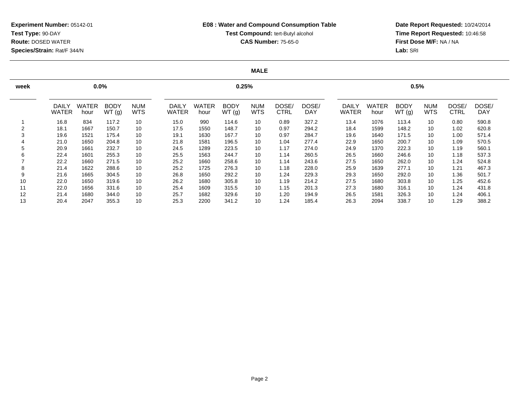## **E08 : Water and Compound Consumption TableTest Compound:** tert-Butyl alcohol **CAS Number:** 75-65-0

**Date Report Requested:** 10/24/2014 **Time Report Requested:** 10:46:58**First Dose M/F:** NA / NA**Lab:** SRI

### **MALE**

| week |                              | $0.0\%$              |                      |                          |                              | 0.5%          |                      |                          |                      |                     |                       |                      |                      |                          |               |                     |
|------|------------------------------|----------------------|----------------------|--------------------------|------------------------------|---------------|----------------------|--------------------------|----------------------|---------------------|-----------------------|----------------------|----------------------|--------------------------|---------------|---------------------|
|      | <b>DAILY</b><br><b>WATER</b> | <b>WATER</b><br>hour | <b>BODY</b><br>WT(g) | <b>NUM</b><br><b>WTS</b> | <b>DAILY</b><br><b>WATER</b> | WATER<br>hour | <b>BODY</b><br>WT(g) | <b>NUM</b><br><b>WTS</b> | DOSE/<br><b>CTRL</b> | DOSE/<br><b>DAY</b> | DAILY<br><b>WATER</b> | <b>WATER</b><br>hour | <b>BODY</b><br>WT(g) | <b>NUM</b><br><b>WTS</b> | DOSE/<br>CTRL | DOSE/<br><b>DAY</b> |
|      | 16.8                         | 834                  | 117.2                | 10                       | 15.0                         | 990           | 114.6                | 10                       | 0.89                 | 327.2               | 13.4                  | 1076                 | 113.4                | 10                       | 0.80          | 590.8               |
|      | 18.1                         | 1667                 | 150.7                | 10                       | 17.5                         | 1550          | 148.7                | 10                       | 0.97                 | 294.2               | 18.4                  | 1599                 | 148.2                | 10                       | 1.02          | 620.8               |
| 3    | 19.6                         | 1521                 | 175.4                | 10                       | 19.1                         | 1630          | 167.7                | 10                       | 0.97                 | 284.7               | 19.6                  | 1640                 | 171.5                | 10                       | 1.00          | 571.4               |
|      | 21.0                         | 1650                 | 204.8                | 10                       | 21.8                         | 1581          | 196.5                | 10                       | 1.04                 | 277.4               | 22.9                  | 1650                 | 200.7                | 10                       | 1.09          | 570.5               |
| 5    | 20.9                         | 1661                 | 232.7                | 10                       | 24.5                         | 1289          | 223.5                | 10                       | 1.17                 | 274.0               | 24.9                  | 1370                 | 222.3                | 10                       | 1.19          | 560.1               |
| 6    | 22.4                         | 1601                 | 255.3                | 10                       | 25.5                         | 1563          | 244.7                | 10                       | 1.14                 | 260.5               | 26.5                  | 1660                 | 246.6                | 10                       | 1.18          | 537.3               |
|      | 22.2                         | 1660                 | 271.5                | 10                       | 25.2                         | 1660          | 258.6                | 10                       | 1.14                 | 243.6               | 27.5                  | 1650                 | 262.0                | 10                       | 1.24          | 524.8               |
| 8    | 21.4                         | 1622                 | 288.6                | 10                       | 25.2                         | 1725          | 276.3                | 10                       | 1.18                 | 228.0               | 25.9                  | 1639                 | 277.1                | 10                       | 1.21          | 467.3               |
| 9    | 21.6                         | 1665                 | 304.5                | 10                       | 26.8                         | 1650          | 292.2                | 10                       | 1.24                 | 229.3               | 29.3                  | 1650                 | 292.0                | 10                       | 1.36          | 501.7               |
| 10   | 22.0                         | 1650                 | 319.6                | 10                       | 26.2                         | 1680          | 305.8                | 10                       | 1.19                 | 214.2               | 27.5                  | 1680                 | 303.8                | 10                       | 1.25          | 452.6               |
| 11   | 22.0                         | 1656                 | 331.6                | 10                       | 25.4                         | 1609          | 315.5                | 10                       | 1.15                 | 201.3               | 27.3                  | 1680                 | 316.1                | 10                       | 1.24          | 431.8               |
| 12   | 21.4                         | 1680                 | 344.0                | 10                       | 25.7                         | 1682          | 329.6                | 10                       | 1.20                 | 194.9               | 26.5                  | 1581                 | 326.3                | 10                       | 1.24          | 406.1               |
| 13   | 20.4                         | 2047                 | 355.3                | 10                       | 25.3                         | 2200          | 341.2                | 10                       | 1.24                 | 185.4               | 26.3                  | 2094                 | 338.7                | 10                       | 1.29          | 388.2               |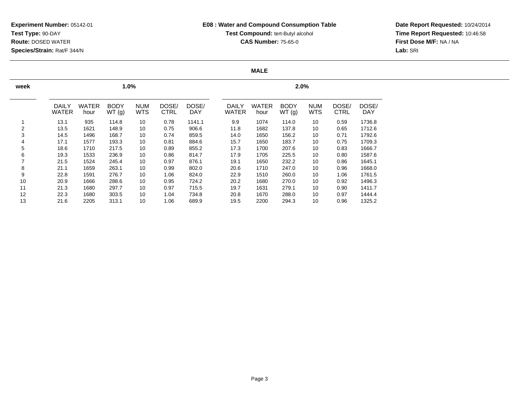## **E08 : Water and Compound Consumption TableTest Compound:** tert-Butyl alcohol **CAS Number:** 75-65-0

**Date Report Requested:** 10/24/2014 **Time Report Requested:** 10:46:58**First Dose M/F:** NA / NA**Lab:** SRI

### **MALE**

| week |                              |                      | 1.0%                 |                          |                      |                     | 2.0% |                              |                      |                      |                          |                      |              |  |
|------|------------------------------|----------------------|----------------------|--------------------------|----------------------|---------------------|------|------------------------------|----------------------|----------------------|--------------------------|----------------------|--------------|--|
|      | <b>DAILY</b><br><b>WATER</b> | <b>WATER</b><br>hour | <b>BODY</b><br>WT(g) | <b>NUM</b><br><b>WTS</b> | DOSE/<br><b>CTRL</b> | DOSE/<br><b>DAY</b> |      | <b>DAILY</b><br><b>WATER</b> | <b>WATER</b><br>hour | <b>BODY</b><br>WT(g) | <b>NUM</b><br><b>WTS</b> | DOSE/<br><b>CTRL</b> | DOSE/<br>DAY |  |
|      | 13.1                         | 935                  | 114.8                | 10                       | 0.78                 | 1141.1              |      | 9.9                          | 1074                 | 114.0                | 10                       | 0.59                 | 1736.8       |  |
| 2    | 13.5                         | 1621                 | 148.9                | 10                       | 0.75                 | 906.6               |      | 11.8                         | 1682                 | 137.8                | 10                       | 0.65                 | 1712.6       |  |
| 3    | 14.5                         | 1496                 | 168.7                | 10                       | 0.74                 | 859.5               |      | 14.0                         | 1650                 | 156.2                | 10                       | 0.71                 | 1792.6       |  |
| 4    | 17.1                         | 1577                 | 193.3                | 10                       | 0.81                 | 884.6               |      | 15.7                         | 1650                 | 183.7                | 10                       | 0.75                 | 1709.3       |  |
| 5    | 18.6                         | 1710                 | 217.5                | 10                       | 0.89                 | 855.2               |      | 17.3                         | 1700                 | 207.6                | 10                       | 0.83                 | 1666.7       |  |
| 6    | 19.3                         | 1533                 | 236.9                | 10                       | 0.86                 | 814.7               |      | 17.9                         | 1705                 | 225.5                | 10                       | 0.80                 | 1587.6       |  |
| 7    | 21.5                         | 1524                 | 245.4                | 10                       | 0.97                 | 876.1               |      | 19.1                         | 1650                 | 232.2                | 10                       | 0.86                 | 1645.1       |  |
| 8    | 21.1                         | 1659                 | 263.1                | 10                       | 0.99                 | 802.0               |      | 20.6                         | 1710                 | 247.0                | 10                       | 0.96                 | 1668.0       |  |
| 9    | 22.8                         | 1591                 | 276.7                | 10                       | 1.06                 | 824.0               |      | 22.9                         | 1510                 | 260.0                | 10                       | 1.06                 | 1761.5       |  |
| 10   | 20.9                         | 1666                 | 288.6                | 10                       | 0.95                 | 724.2               |      | 20.2                         | 1680                 | 270.0                | 10                       | 0.92                 | 1496.3       |  |
| 11   | 21.3                         | 1680                 | 297.7                | 10                       | 0.97                 | 715.5               |      | 19.7                         | 1631                 | 279.1                | 10                       | 0.90                 | 1411.7       |  |
| 12   | 22.3                         | 1680                 | 303.5                | 10                       | 1.04                 | 734.8               |      | 20.8                         | 1670                 | 288.0                | 10                       | 0.97                 | 1444.4       |  |
| 13   | 21.6                         | 2205                 | 313.1                | 10                       | 1.06                 | 689.9               |      | 19.5                         | 2200                 | 294.3                | 10                       | 0.96                 | 1325.2       |  |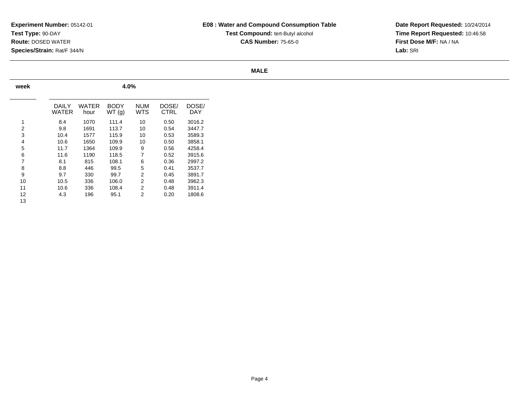# **E08 : Water and Compound Consumption TableTest Compound:** tert-Butyl alcohol **CAS Number:** 75-65-0

**Date Report Requested:** 10/24/2014 **Time Report Requested:** 10:46:58**First Dose M/F:** NA / NA**Lab:** SRI

### **MALE**

| week |                |               |                      |                   |                      |                     |
|------|----------------|---------------|----------------------|-------------------|----------------------|---------------------|
|      | DAILY<br>WATER | WATER<br>hour | <b>BODY</b><br>WT(g) | <b>NUM</b><br>WTS | DOSE/<br><b>CTRL</b> | DOSE/<br><b>DAY</b> |
| 1    | 8.4            | 1070          | 111.4                | 10                | 0.50                 | 3016.2              |
| 2    | 9.8            | 1691          | 113.7                | 10                | 0.54                 | 3447.7              |
| 3    | 10.4           | 1577          | 115.9                | 10                | 0.53                 | 3589.3              |
| 4    | 10.6           | 1650          | 109.9                | 10                | 0.50                 | 3858.1              |
| 5    | 11.7           | 1364          | 109.9                | 9                 | 0.56                 | 4258.4              |
| 6    | 11.6           | 1190          | 118.5                | 7                 | 0.52                 | 3915.6              |
| 7    | 8.1            | 815           | 108.1                | 6                 | 0.36                 | 2997.2              |
| 8    | 8.8            | 446           | 99.5                 | 5                 | 0.41                 | 3537.7              |
| 9    | 9.7            | 330           | 99.7                 | 2                 | 0.45                 | 3891.7              |
| 10   | 10.5           | 336           | 106.0                | 2                 | 0.48                 | 3962.3              |
| 11   | 10.6           | 336           | 108.4                | $\overline{2}$    | 0.48                 | 3911.4              |
| 12   | 4.3            | 196           | 95.1                 | 2                 | 0.20                 | 1808.6              |
| 13   |                |               |                      |                   |                      |                     |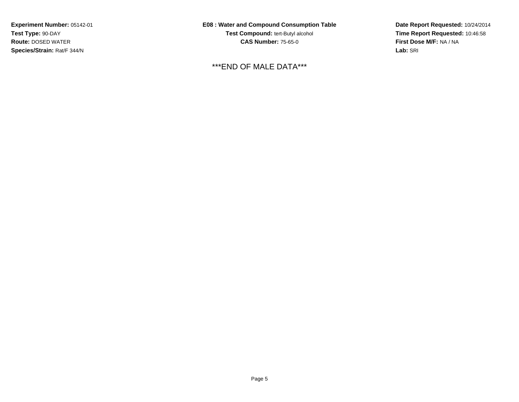**E08 : Water and Compound Consumption TableTest Compound:** tert-Butyl alcohol **CAS Number:** 75-65-0

\*\*\*END OF MALE DATA\*\*\*

**Date Report Requested:** 10/24/2014 **Time Report Requested:** 10:46:58**First Dose M/F:** NA / NA**Lab:** SRI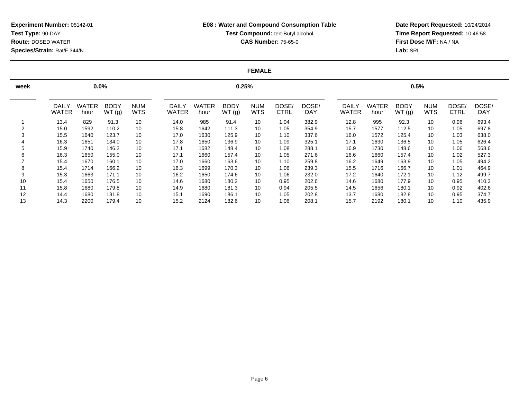## **E08 : Water and Compound Consumption TableTest Compound:** tert-Butyl alcohol **CAS Number:** 75-65-0

**Date Report Requested:** 10/24/2014 **Time Report Requested:** 10:46:58**First Dose M/F:** NA / NA**Lab:** SRI

#### **FEMALE**

| week |                              | $0.0\%$              |                      |                          |                              |               | 0.25%                |                          |                      | 0.5%                |                       |                      |                      |                          |               |                     |
|------|------------------------------|----------------------|----------------------|--------------------------|------------------------------|---------------|----------------------|--------------------------|----------------------|---------------------|-----------------------|----------------------|----------------------|--------------------------|---------------|---------------------|
|      | <b>DAILY</b><br><b>WATER</b> | <b>WATER</b><br>hour | <b>BODY</b><br>WT(g) | <b>NUM</b><br><b>WTS</b> | <b>DAILY</b><br><b>WATER</b> | WATER<br>hour | <b>BODY</b><br>WT(g) | <b>NUM</b><br><b>WTS</b> | DOSE/<br><b>CTRL</b> | DOSE/<br><b>DAY</b> | DAILY<br><b>WATER</b> | <b>WATER</b><br>hour | <b>BODY</b><br>WT(g) | <b>NUM</b><br><b>WTS</b> | DOSE/<br>CTRL | DOSE/<br><b>DAY</b> |
|      | 13.4                         | 829                  | 91.3                 | 10                       | 14.0                         | 985           | 91.4                 | 10                       | 1.04                 | 382.9               | 12.8                  | 995                  | 92.3                 | 10                       | 0.96          | 693.4               |
| 2    | 15.0                         | 1592                 | 110.2                | 10                       | 15.8                         | 1642          | 111.3                | 10                       | 1.05                 | 354.9               | 15.7                  | 1577                 | 112.5                | 10                       | 1.05          | 697.8               |
| 3    | 15.5                         | 1640                 | 123.7                | 10                       | 17.0                         | 1630          | 125.9                | 10                       | 1.10                 | 337.6               | 16.0                  | 1572                 | 125.4                | 10                       | 1.03          | 638.0               |
|      | 16.3                         | 1651                 | 134.0                | 10                       | 17.8                         | 1650          | 136.9                | 10                       | 1.09                 | 325.1               | 17.1                  | 1630                 | 136.5                | 10                       | 1.05          | 626.4               |
| 5    | 15.9                         | 1740                 | 146.2                | 10                       | 17.1                         | 1682          | 148.4                | 10                       | 1.08                 | 288.1               | 16.9                  | 1730                 | 148.6                | 10                       | 1.06          | 568.6               |
| 6    | 16.3                         | 1650                 | 155.0                | 10                       | 17.1                         | 1660          | 157.4                | 10                       | 1.05                 | 271.6               | 16.6                  | 1660                 | 157.4                | 10                       | 1.02          | 527.3               |
|      | 15.4                         | 1670                 | 160.1                | 10                       | 17.0                         | 1660          | 163.6                | 10                       | 1.10                 | 259.8               | 16.2                  | 1649                 | 163.9                | 10                       | 1.05          | 494.2               |
| 8    | 15.4                         | 1714                 | 166.2                | 10                       | 16.3                         | 1699          | 170.3                | 10                       | 1.06                 | 239.3               | 15.5                  | 1716                 | 166.7                | 10                       | 1.01          | 464.9               |
| 9    | 15.3                         | 1663                 | 171.1                | 10                       | 16.2                         | 1650          | 174.6                | 10                       | 1.06                 | 232.0               | 17.2                  | 1640                 | 172.1                | 10                       | 1.12          | 499.7               |
| 10   | 15.4                         | 1650                 | 176.5                | 10                       | 14.6                         | 1680          | 180.2                | 10                       | 0.95                 | 202.6               | 14.6                  | 1680                 | 177.9                | 10                       | 0.95          | 410.3               |
| 11   | 15.8                         | 1680                 | 179.8                | 10                       | 14.9                         | 1680          | 181.3                | 10                       | 0.94                 | 205.5               | 14.5                  | 1656                 | 180.1                | 10                       | 0.92          | 402.6               |
| 12   | 14.4                         | 1680                 | 181.8                | 10                       | 15.1                         | 1690          | 186.1                | 10                       | 1.05                 | 202.8               | 13.7                  | 1680                 | 182.8                | 10                       | 0.95          | 374.7               |
| 13   | 14.3                         | 2200                 | 179.4                | 10                       | 15.2                         | 2124          | 182.6                | 10                       | 1.06                 | 208.1               | 15.7                  | 2192                 | 180.1                | 10                       | 1.10          | 435.9               |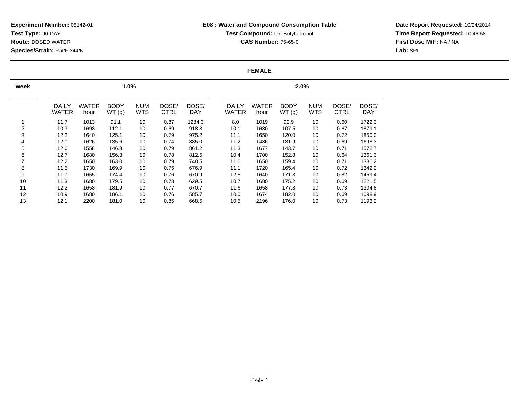## **E08 : Water and Compound Consumption TableTest Compound:** tert-Butyl alcohol **CAS Number:** 75-65-0

**Date Report Requested:** 10/24/2014 **Time Report Requested:** 10:46:58**First Dose M/F:** NA / NA**Lab:** SRI

#### **FEMALE**

| week                     |                              |                      | 1.0%                 |                          |                      | 2.0%         |  |                              |                      |                      |                          |                      |                     |  |
|--------------------------|------------------------------|----------------------|----------------------|--------------------------|----------------------|--------------|--|------------------------------|----------------------|----------------------|--------------------------|----------------------|---------------------|--|
|                          | <b>DAILY</b><br><b>WATER</b> | <b>WATER</b><br>hour | <b>BODY</b><br>WT(g) | <b>NUM</b><br><b>WTS</b> | DOSE/<br><b>CTRL</b> | DOSE/<br>DAY |  | <b>DAILY</b><br><b>WATER</b> | <b>WATER</b><br>hour | <b>BODY</b><br>WT(g) | <b>NUM</b><br><b>WTS</b> | DOSE/<br><b>CTRL</b> | DOSE/<br><b>DAY</b> |  |
|                          | 11.7                         | 1013                 | 91.1                 | 10                       | 0.87                 | 1284.3       |  | 8.0                          | 1019                 | 92.9                 | 10                       | 0.60                 | 1722.3              |  |
| 2                        | 10.3                         | 1698                 | 112.1                | 10                       | 0.69                 | 918.8        |  | 10.1                         | 1680                 | 107.5                | 10                       | 0.67                 | 1879.1              |  |
| 3                        | 12.2                         | 1640                 | 125.1                | 10                       | 0.79                 | 975.2        |  | 11.1                         | 1650                 | 120.0                | 10                       | 0.72                 | 1850.0              |  |
| 4                        | 12.0                         | 1626                 | 135.6                | 10                       | 0.74                 | 885.0        |  | 11.2                         | 1486                 | 131.9                | 10                       | 0.69                 | 1698.3              |  |
| 5                        | 12.6                         | 1558                 | 146.3                | 10                       | 0.79                 | 861.2        |  | 11.3                         | 1677                 | 143.7                | 10                       | 0.71                 | 1572.7              |  |
| 6                        | 12.7                         | 1680                 | 156.3                | 10                       | 0.78                 | 812.5        |  | 10.4                         | 1700                 | 152.8                | 10                       | 0.64                 | 1361.3              |  |
| $\overline{\phantom{a}}$ | 12.2                         | 1650                 | 163.0                | 10                       | 0.79                 | 748.5        |  | 11.0                         | 1650                 | 159.4                | 10                       | 0.71                 | 1380.2              |  |
| 8                        | 11.5                         | 1730                 | 169.9                | 10                       | 0.75                 | 676.9        |  | 11.1                         | 1720                 | 165.4                | 10                       | 0.72                 | 1342.2              |  |
| 9                        | 11.7                         | 1655                 | 174.4                | 10                       | 0.76                 | 670.9        |  | 12.5                         | 1640                 | 171.3                | 10                       | 0.82                 | 1459.4              |  |
| 10                       | 11.3                         | 1680                 | 179.5                | 10                       | 0.73                 | 629.5        |  | 10.7                         | 1680                 | 175.2                | 10                       | 0.69                 | 1221.5              |  |
| 11                       | 12.2                         | 1658                 | 181.9                | 10                       | 0.77                 | 670.7        |  | 11.6                         | 1658                 | 177.8                | 10                       | 0.73                 | 1304.8              |  |
| 12                       | 10.9                         | 1680                 | 186.1                | 10                       | 0.76                 | 585.7        |  | 10.0                         | 1674                 | 182.0                | 10                       | 0.69                 | 1098.9              |  |
| 13                       | 12.1                         | 2200                 | 181.0                | 10                       | 0.85                 | 668.5        |  | 10.5                         | 2196                 | 176.0                | 10                       | 0.73                 | 1193.2              |  |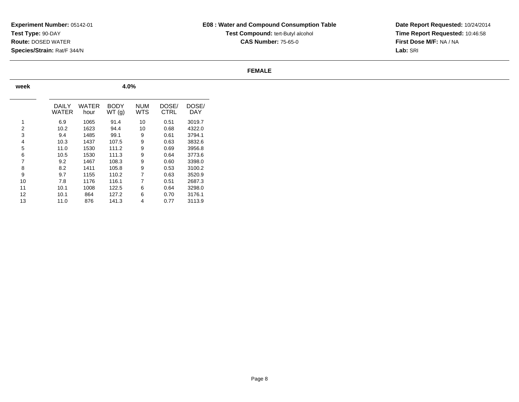## **E08 : Water and Compound Consumption TableTest Compound:** tert-Butyl alcohol **CAS Number:** 75-65-0

**Date Report Requested:** 10/24/2014 **Time Report Requested:** 10:46:58**First Dose M/F:** NA / NA**Lab:** SRI

#### **FEMALE**

| week |                |               |                       |                   |               |              |
|------|----------------|---------------|-----------------------|-------------------|---------------|--------------|
|      | DAILY<br>WATER | WATER<br>hour | <b>BODY</b><br>WT (g) | <b>NUM</b><br>WTS | DOSE/<br>CTRL | DOSE/<br>DAY |
| 1    | 6.9            | 1065          | 91.4                  | 10                | 0.51          | 3019.7       |
| 2    | 10.2           | 1623          | 94.4                  | 10                | 0.68          | 4322.0       |
| 3    | 9.4            | 1485          | 99.1                  | 9                 | 0.61          | 3794.1       |
| 4    | 10.3           | 1437          | 107.5                 | 9                 | 0.63          | 3832.6       |
| 5    | 11.0           | 1530          | 111.2                 | 9                 | 0.69          | 3956.8       |
| 6    | 10.5           | 1530          | 111.3                 | 9                 | 0.64          | 3773.6       |
| 7    | 9.2            | 1467          | 108.3                 | 9                 | 0.60          | 3398.0       |
| 8    | 8.2            | 1411          | 105.8                 | 9                 | 0.53          | 3100.2       |
| 9    | 9.7            | 1155          | 110.2                 | 7                 | 0.63          | 3520.9       |
| 10   | 7.8            | 1176          | 116.1                 | 7                 | 0.51          | 2687.3       |
| 11   | 10.1           | 1008          | 122.5                 | 6                 | 0.64          | 3298.0       |
| 12   | 10.1           | 864           | 127.2                 | 6                 | 0.70          | 3176.1       |
| 13   | 11.0           | 876           | 141.3                 | 4                 | 0.77          | 3113.9       |